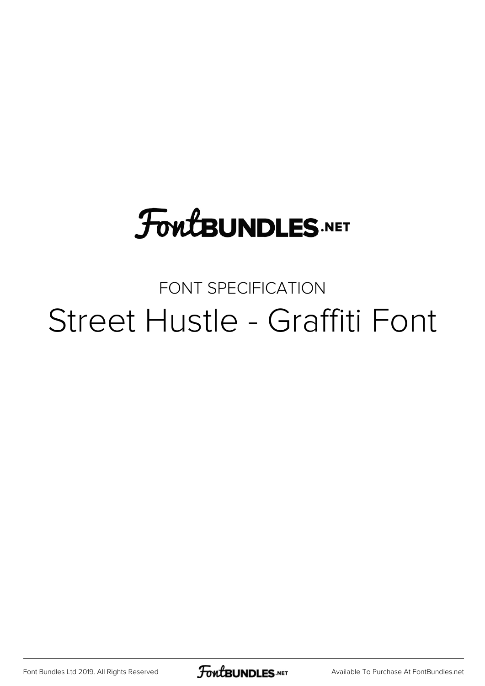# **FoutBUNDLES.NET**

#### FONT SPECIFICATION Street Hustle - Graffiti Font

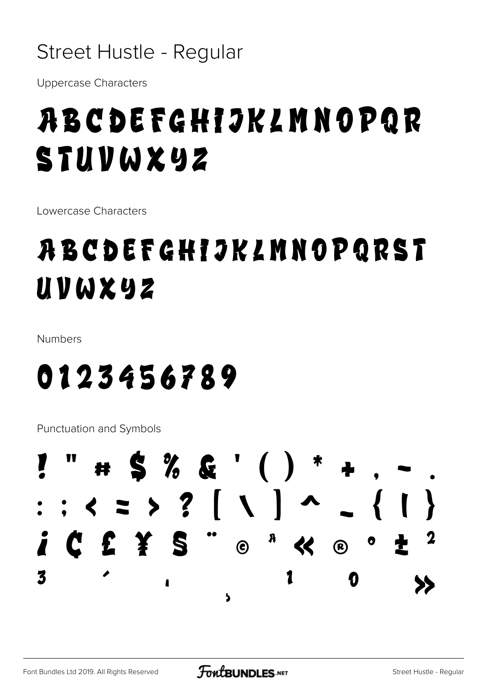#### Street Hustle - Regular

**Uppercase Characters** 

## **ABCDEFGHIJKLMNOPQR** STUVWXYZ

Lowercase Characters

#### ABCDEFGHIJKLMNOPQRST UVWXYZ

Numbers

## 0123456789

**Punctuation and Symbols** 

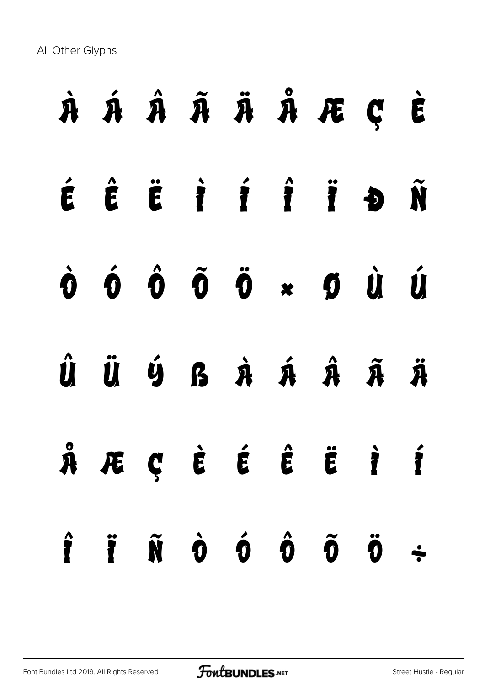All Other Glyphs

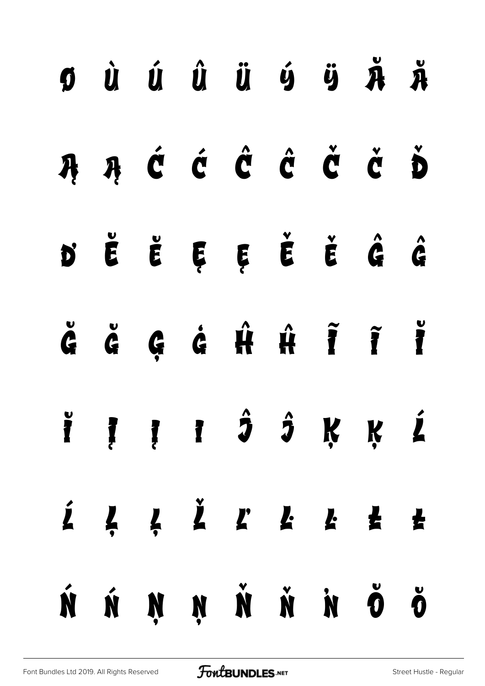|  |  | $\begin{array}{ccccccccccccccccc} \mathbf{0} & \dot{\mathbf{U}} & \dot{\mathbf{U}} & \dot{\mathbf{U}} & \dot{\mathbf{U}} & \dot{\mathbf{U}} & \dot{\mathbf{U}} & \dot{\mathbf{U}} & \dot{\mathbf{U}} & \dot{\mathbf{U}} & \dot{\mathbf{U}} & \dot{\mathbf{U}} & \dot{\mathbf{U}} & \dot{\mathbf{U}} & \dot{\mathbf{U}} & \dot{\mathbf{U}} & \dot{\mathbf{U}} & \dot{\mathbf{U}} & \dot{\mathbf{U}} & \dot{\mathbf{U}} & \dot{\mathbf{U}} & \dot{\mathbf{U}} & \dot{\mathbf{U}} & \dot{\math$ |  |  |
|--|--|----------------------------------------------------------------------------------------------------------------------------------------------------------------------------------------------------------------------------------------------------------------------------------------------------------------------------------------------------------------------------------------------------------------------------------------------------------------------------------------------|--|--|
|  |  | ĄĄĆĆĈČČČĎ                                                                                                                                                                                                                                                                                                                                                                                                                                                                                    |  |  |
|  |  | D'ËËĘĘĘĚĚĜĜ                                                                                                                                                                                                                                                                                                                                                                                                                                                                                  |  |  |
|  |  | ĞĞÇĞĤĤÎĨĬ                                                                                                                                                                                                                                                                                                                                                                                                                                                                                    |  |  |
|  |  | ÏĮĮI ĴĴĶĶĹ                                                                                                                                                                                                                                                                                                                                                                                                                                                                                   |  |  |
|  |  |                                                                                                                                                                                                                                                                                                                                                                                                                                                                                              |  |  |
|  |  |                                                                                                                                                                                                                                                                                                                                                                                                                                                                                              |  |  |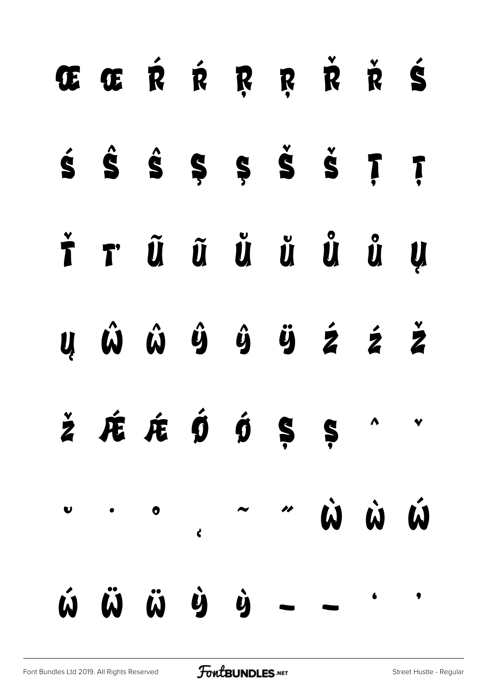| ŒŒŔŔŖŖŘ <del>Ř</del> Ś                                                                                                                                                                       |  |  |  |  |
|----------------------------------------------------------------------------------------------------------------------------------------------------------------------------------------------|--|--|--|--|
|                                                                                                                                                                                              |  |  |  |  |
| Ť r ũ ũ ủ ủ ủ ủ y                                                                                                                                                                            |  |  |  |  |
| $\boldsymbol{u}$ $\hat{\boldsymbol{\omega}}$ $\hat{\boldsymbol{\omega}}$ $\hat{\boldsymbol{y}}$ $\hat{\boldsymbol{y}}$ $\hat{\boldsymbol{z}}$ $\hat{\boldsymbol{z}}$ $\hat{\boldsymbol{z}}$  |  |  |  |  |
| $\check{\mathsf{z}}$ $\mathsf{\acute{E}}$ $\mathsf{\acute{E}}$ $\mathsf{\acute{D}}$ $\mathsf{\acute{D}}$ $\mathsf{\acute{S}}$ $\mathsf{\acute{S}}$ $\mathsf{\acute{S}}$ $\mathsf{\acute{S}}$ |  |  |  |  |
|                                                                                                                                                                                              |  |  |  |  |
|                                                                                                                                                                                              |  |  |  |  |